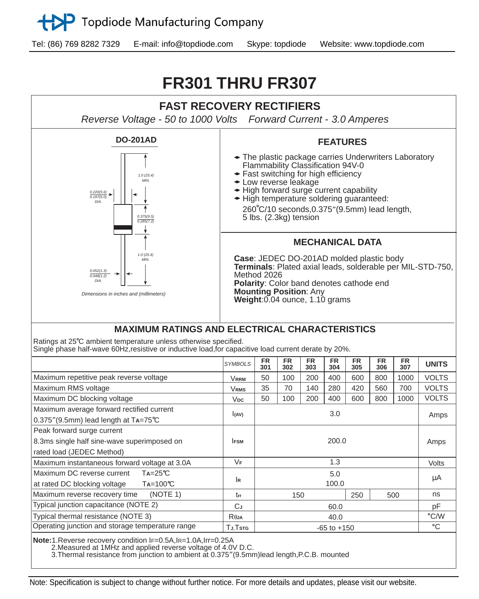

Tel: (86) 769 8282 7329 E-mail: info@topdiode.com Skype: topdiode Website: www.topdiode.com